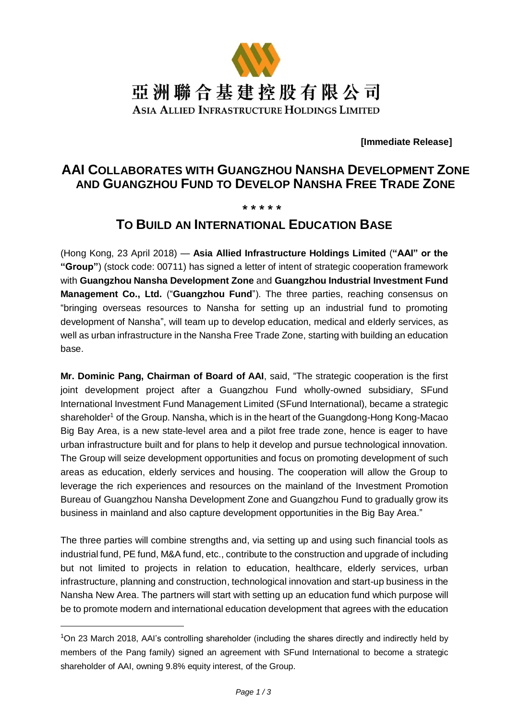

**[Immediate Release]**

# **AAI COLLABORATES WITH GUANGZHOU NANSHA DEVELOPMENT ZONE AND GUANGZHOU FUND TO DEVELOP NANSHA FREE TRADE ZONE**

### **\* \* \* \* \***

## **TO BUILD AN INTERNATIONAL EDUCATION BASE**

(Hong Kong, 23 April 2018) — **Asia Allied Infrastructure Holdings Limited** (**"AAI" or the "Group"**) (stock code: 00711) has signed a letter of intent of strategic cooperation framework with **Guangzhou Nansha Development Zone** and **Guangzhou Industrial Investment Fund Management Co., Ltd.** ("**Guangzhou Fund**"). The three parties, reaching consensus on "bringing overseas resources to Nansha for setting up an industrial fund to promoting development of Nansha", will team up to develop education, medical and elderly services, as well as urban infrastructure in the Nansha Free Trade Zone, starting with building an education base.

**Mr. Dominic Pang, Chairman of Board of AAI**, said, "The strategic cooperation is the first joint development project after a Guangzhou Fund wholly-owned subsidiary, SFund International Investment Fund Management Limited (SFund International), became a strategic shareholder<sup>1</sup> of the Group. Nansha, which is in the heart of the Guangdong-Hong Kong-Macao Big Bay Area, is a new state-level area and a pilot free trade zone, hence is eager to have urban infrastructure built and for plans to help it develop and pursue technological innovation. The Group will seize development opportunities and focus on promoting development of such areas as education, elderly services and housing. The cooperation will allow the Group to leverage the rich experiences and resources on the mainland of the Investment Promotion Bureau of Guangzhou Nansha Development Zone and Guangzhou Fund to gradually grow its business in mainland and also capture development opportunities in the Big Bay Area."

The three parties will combine strengths and, via setting up and using such financial tools as industrial fund, PE fund, M&A fund, etc., contribute to the construction and upgrade of including but not limited to projects in relation to education, healthcare, elderly services, urban infrastructure, planning and construction, technological innovation and start-up business in the Nansha New Area. The partners will start with setting up an education fund which purpose will be to promote modern and international education development that agrees with the education

-

<sup>&</sup>lt;sup>1</sup>On 23 March 2018, AAI's controlling shareholder (including the shares directly and indirectly held by members of the Pang family) signed an agreement with SFund International to become a strategic shareholder of AAI, owning 9.8% equity interest, of the Group.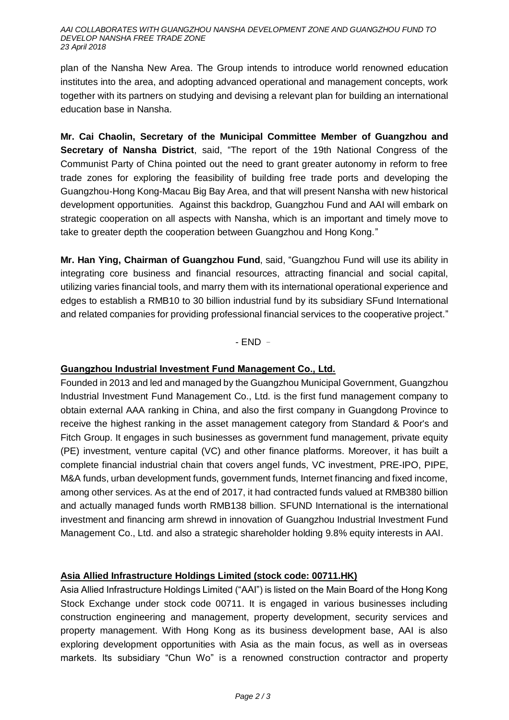#### *AAI COLLABORATES WITH GUANGZHOU NANSHA DEVELOPMENT ZONE AND GUANGZHOU FUND TO DEVELOP NANSHA FREE TRADE ZONE 23 April 2018*

plan of the Nansha New Area. The Group intends to introduce world renowned education institutes into the area, and adopting advanced operational and management concepts, work together with its partners on studying and devising a relevant plan for building an international education base in Nansha.

**Mr. Cai Chaolin, Secretary of the Municipal Committee Member of Guangzhou and Secretary of Nansha District**, said, "The report of the 19th National Congress of the Communist Party of China pointed out the need to grant greater autonomy in reform to free trade zones for exploring the feasibility of building free trade ports and developing the Guangzhou-Hong Kong-Macau Big Bay Area, and that will present Nansha with new historical development opportunities. Against this backdrop, Guangzhou Fund and AAI will embark on strategic cooperation on all aspects with Nansha, which is an important and timely move to take to greater depth the cooperation between Guangzhou and Hong Kong."

**Mr. Han Ying, Chairman of Guangzhou Fund**, said, "Guangzhou Fund will use its ability in integrating core business and financial resources, attracting financial and social capital, utilizing varies financial tools, and marry them with its international operational experience and edges to establish a RMB10 to 30 billion industrial fund by its subsidiary SFund International and related companies for providing professional financial services to the cooperative project."

- END –

## **Guangzhou Industrial Investment Fund Management Co., Ltd.**

Founded in 2013 and led and managed by the Guangzhou Municipal Government, Guangzhou Industrial Investment Fund Management Co., Ltd. is the first fund management company to obtain external AAA ranking in China, and also the first company in Guangdong Province to receive the highest ranking in the asset management category from Standard & Poor's and Fitch Group. It engages in such businesses as government fund management, private equity (PE) investment, venture capital (VC) and other finance platforms. Moreover, it has built a complete financial industrial chain that covers angel funds, VC investment, PRE-IPO, PIPE, M&A funds, urban development funds, government funds, Internet financing and fixed income, among other services. As at the end of 2017, it had contracted funds valued at RMB380 billion and actually managed funds worth RMB138 billion. SFUND International is the international investment and financing arm shrewd in innovation of Guangzhou Industrial Investment Fund Management Co., Ltd. and also a strategic shareholder holding 9.8% equity interests in AAI.

## **Asia Allied Infrastructure Holdings Limited (stock code: 00711.HK)**

Asia Allied Infrastructure Holdings Limited ("AAI") is listed on the Main Board of the Hong Kong Stock Exchange under stock code 00711. It is engaged in various businesses including construction engineering and management, property development, security services and property management. With Hong Kong as its business development base, AAI is also exploring development opportunities with Asia as the main focus, as well as in overseas markets. Its subsidiary "Chun Wo" is a renowned construction contractor and property